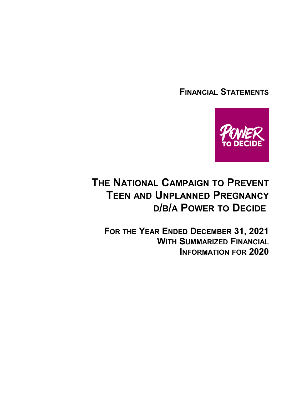**FINANCIAL STATEMENTS**



# **THE NATIONAL CAMPAIGN TO PREVENT TEEN AND UNPLANNED PREGNANCY D/B/A POWER TO DECIDE**

**FOR THE YEAR ENDED DECEMBER 31, 2021 WITH SUMMARIZED FINANCIAL INFORMATION FOR 2020**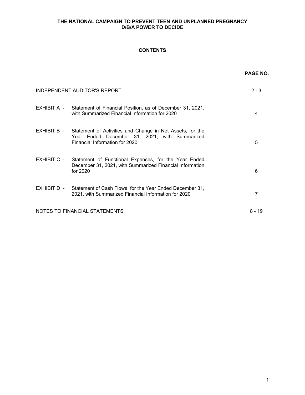## **CONTENTS**

|             |                                                                                                                                                                 | PAGE NO.       |
|-------------|-----------------------------------------------------------------------------------------------------------------------------------------------------------------|----------------|
|             | <b>INDEPENDENT AUDITOR'S REPORT</b>                                                                                                                             | $2 - 3$        |
| EXHIBIT A - | Statement of Financial Position, as of December 31, 2021,<br>with Summarized Financial Information for 2020                                                     | $\overline{4}$ |
|             | <b>EXHIBIT B -</b> Statement of Activities and Change in Net Assets, for the<br>Year Ended December 31, 2021, with Summarized<br>Financial Information for 2020 | 5              |
| EXHIBIT C - | Statement of Functional Expenses, for the Year Ended<br>December 31, 2021, with Summarized Financial Information<br>for 2020                                    | 6              |
| EXHIBIT D - | Statement of Cash Flows, for the Year Ended December 31,<br>2021, with Summarized Financial Information for 2020                                                | 7              |
|             | NOTES TO FINANCIAL STATEMENTS                                                                                                                                   | $8 - 19$       |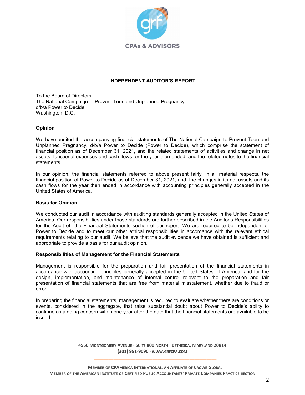

## **INDEPENDENT AUDITOR'S REPORT**

To the Board of Directors The National Campaign to Prevent Teen and Unplanned Pregnancy d/b/a Power to Decide Washington, D.C.

## **Opinion**

We have audited the accompanying financial statements of The National Campaign to Prevent Teen and Unplanned Pregnancy, d/b/a Power to Decide (Power to Decide), which comprise the statement of financial position as of December 31, 2021, and the related statements of activities and change in net assets, functional expenses and cash flows for the year then ended, and the related notes to the financial statements.

In our opinion, the financial statements referred to above present fairly, in all material respects, the financial position of Power to Decide as of December 31, 2021, and the changes in its net assets and its cash flows for the year then ended in accordance with accounting principles generally accepted in the United States of America.

#### **Basis for Opinion**

We conducted our audit in accordance with auditing standards generally accepted in the United States of America. Our responsibilities under those standards are further described in the Auditor's Responsibilities for the Audit of the Financial Statements section of our report. We are required to be independent of Power to Decide and to meet our other ethical responsibilities in accordance with the relevant ethical requirements relating to our audit. We believe that the audit evidence we have obtained is sufficient and appropriate to provide a basis for our audit opinion.

#### **Responsibilities of Management for the Financial Statements**

Management is responsible for the preparation and fair presentation of the financial statements in accordance with accounting principles generally accepted in the United States of America, and for the design, implementation, and maintenance of internal control relevant to the preparation and fair presentation of financial statements that are free from material misstatement, whether due to fraud or error.

In preparing the financial statements, management is required to evaluate whether there are conditions or events, considered in the aggregate, that raise substantial doubt about Power to Decide's ability to continue as a going concern within one year after the date that the financial statements are available to be issued.

> **4550 MONTGOMERY AVENUE · SUITE 800 NORTH · BETHESDA, MARYLAND 20814 (301) 951-9090 · WWW.GRFCPA.COM \_\_\_\_\_\_\_\_\_\_\_\_\_\_\_\_\_\_\_\_\_\_\_\_\_\_\_\_\_\_\_\_\_\_\_\_\_\_\_\_\_\_\_\_\_\_\_\_\_\_**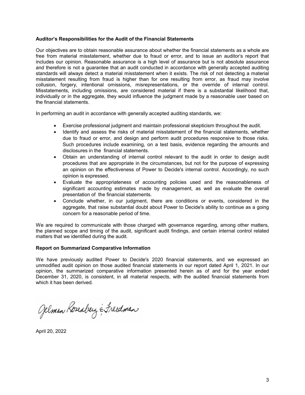## **Auditor's Responsibilities for the Audit of the Financial Statements**

Our objectives are to obtain reasonable assurance about whether the financial statements as a whole are free from material misstatement, whether due to fraud or error, and to issue an auditor's report that includes our opinion. Reasonable assurance is a high level of assurance but is not absolute assurance and therefore is not a guarantee that an audit conducted in accordance with generally accepted auditing standards will always detect a material misstatement when it exists. The risk of not detecting a material misstatement resulting from fraud is higher than for one resulting from error, as fraud may involve collusion, forgery, intentional omissions, misrepresentations, or the override of internal control. Misstatements, including omissions, are considered material if there is a substantial likelihood that, individually or in the aggregate, they would influence the judgment made by a reasonable user based on the financial statements.

In performing an audit in accordance with generally accepted auditing standards, we:

- Exercise professional judgment and maintain professional skepticism throughout the audit.
- Identify and assess the risks of material misstatement of the financial statements, whether due to fraud or error, and design and perform audit procedures responsive to those risks. Such procedures include examining, on a test basis, evidence regarding the amounts and disclosures in the financial statements.
- Obtain an understanding of internal control relevant to the audit in order to design audit procedures that are appropriate in the circumstances, but not for the purpose of expressing an opinion on the effectiveness of Power to Decide's internal control. Accordingly, no such opinion is expressed.
- Evaluate the appropriateness of accounting policies used and the reasonableness of significant accounting estimates made by management, as well as evaluate the overall presentation of the financial statements.
- Conclude whether, in our judgment, there are conditions or events, considered in the aggregate, that raise substantial doubt about Power to Decide's ability to continue as a going concern for a reasonable period of time.

We are required to communicate with those charged with governance regarding, among other matters, the planned scope and timing of the audit, significant audit findings, and certain internal control related matters that we identified during the audit.

## **Report on Summarized Comparative Information**

We have previously audited Power to Decide's 2020 financial statements, and we expressed an unmodified audit opinion on those audited financial statements in our report dated April 1, 2021. In our opinion, the summarized comparative information presented herein as of and for the year ended December 31, 2020, is consistent, in all material respects, with the audited financial statements from which it has been derived.

Gelman Koreaberg & Freedman

April 20, 2022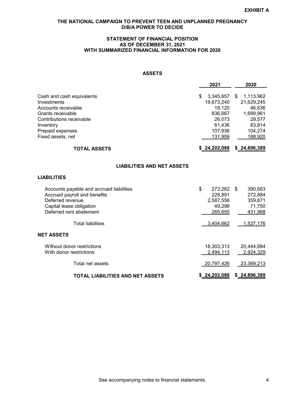#### **STATEMENT OF FINANCIAL POSITION AS OF DECEMBER 31, 2021 WITH SUMMARIZED FINANCIAL INFORMATION FOR 2020**

## **ASSETS**

|                                                                                                                                                                        | 2021                                                                                         | 2020                                                                                           |
|------------------------------------------------------------------------------------------------------------------------------------------------------------------------|----------------------------------------------------------------------------------------------|------------------------------------------------------------------------------------------------|
| Cash and cash equivalents<br>Investments<br>Accounts receivable<br>Grants receivable<br>Contributions receivable<br>Inventory<br>Prepaid expenses<br>Fixed assets, net | \$<br>3,345,657<br>19,673,240<br>19,120<br>836,667<br>26,073<br>61,436<br>107,936<br>131,959 | 1,113,962<br>\$<br>21,629,245<br>46,636<br>1,699,961<br>29,577<br>83,814<br>104,274<br>188,920 |
| <b>TOTAL ASSETS</b>                                                                                                                                                    | \$24,202,088                                                                                 | \$24,896,389                                                                                   |
| <b>LIABILITIES AND NET ASSETS</b>                                                                                                                                      |                                                                                              |                                                                                                |
| LIABILITIES                                                                                                                                                            |                                                                                              |                                                                                                |
| Accounts payable and accrued liabilities<br>Accrued payroll and benefits<br>Deferred revenue<br>Capital lease obligation<br>Deferred rent abatement                    | \$<br>273,262<br>228,891<br>2,587,556<br>49,298<br>265,655                                   | 390,683<br>\$<br>272,884<br>359,871<br>71,750<br>431,988                                       |
| <b>Total liabilities</b>                                                                                                                                               | 3,404,662                                                                                    | 1,527,176                                                                                      |
| <b>NET ASSETS</b>                                                                                                                                                      |                                                                                              |                                                                                                |
| Without donor restrictions<br>With donor restrictions                                                                                                                  | 18,303,313<br>2,494,113                                                                      | 20,444,884<br>2,924,329                                                                        |
| Total net assets                                                                                                                                                       | 20,797,426                                                                                   | 23,369,213                                                                                     |
| <b>TOTAL LIABILITIES AND NET ASSETS</b>                                                                                                                                | \$24,202,088                                                                                 | \$24,896,389                                                                                   |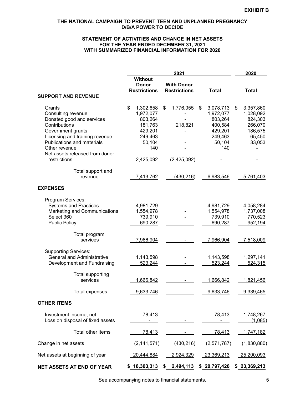## **STATEMENT OF ACTIVITIES AND CHANGE IN NET ASSETS FOR THE YEAR ENDED DECEMBER 31, 2021 WITH SUMMARIZED FINANCIAL INFORMATION FOR 2020**

|                                                                                                 | 2021                                |                                          | 2020                            |                                 |
|-------------------------------------------------------------------------------------------------|-------------------------------------|------------------------------------------|---------------------------------|---------------------------------|
|                                                                                                 | <b>Without</b>                      |                                          |                                 |                                 |
|                                                                                                 | <b>Donor</b><br><b>Restrictions</b> | <b>With Donor</b><br><b>Restrictions</b> | <b>Total</b>                    | <b>Total</b>                    |
| <b>SUPPORT AND REVENUE</b>                                                                      |                                     |                                          |                                 |                                 |
| Grants<br>Consulting revenue                                                                    | \$<br>1,302,658<br>1,972,077        | 1,776,055<br>\$                          | 3,078,713<br>\$<br>1,972,077    | 3,357,860<br>\$<br>1,028,092    |
| Donated good and services<br>Contributions<br>Government grants                                 | 803,264<br>181,763<br>429,201       | 218,821                                  | 803,264<br>400,584<br>429,201   | 824,303<br>266,070<br>186,575   |
| Licensing and training revenue<br>Publications and materials                                    | 249,463<br>50,104                   |                                          | 249,463<br>50,104               | 65,450<br>33,053                |
| Other revenue<br>Net assets released from donor<br>restrictions                                 | 140<br>2,425,092                    | (2,425,092)                              | 140                             |                                 |
| Total support and                                                                               |                                     |                                          |                                 |                                 |
| revenue                                                                                         | 7,413,762                           | (430, 216)                               | 6,983,546                       | 5,761,403                       |
| <b>EXPENSES</b>                                                                                 |                                     |                                          |                                 |                                 |
| Program Services:<br><b>Systems and Practices</b>                                               | 4,981,729                           |                                          | 4,981,729                       | 4,058,284                       |
| Marketing and Communications<br>Select 360<br><b>Public Policy</b>                              | 1,554,978<br>739,910<br>690,287     |                                          | 1,554,978<br>739,910<br>690,287 | 1,737,008<br>770,523<br>952,194 |
|                                                                                                 |                                     |                                          |                                 |                                 |
| Total program<br>services                                                                       | 7,966,904                           |                                          | 7,966,904                       | 7,518,009                       |
| <b>Supporting Services:</b><br><b>General and Administrative</b><br>Development and Fundraising | 1,143,598<br>523,244                |                                          | 1,143,598<br>523,244            | 1,297,141<br>524,315            |
| Total supporting<br>services                                                                    | 1,666,842                           |                                          | 1,666,842                       | 1,821,456                       |
| Total expenses                                                                                  | 9,633,746                           |                                          | 9,633,746                       | 9,339,465                       |
| <b>OTHER ITEMS</b>                                                                              |                                     |                                          |                                 |                                 |
| Investment income, net<br>Loss on disposal of fixed assets                                      | 78,413                              |                                          | 78,413                          | 1,748,267<br>(1,085)            |
| Total other items                                                                               | 78,413                              |                                          | 78,413                          | 1,747,182                       |
| Change in net assets                                                                            | (2, 141, 571)                       | (430, 216)                               | (2,571,787)                     | (1,830,880)                     |
| Net assets at beginning of year                                                                 | 20,444,884                          | 2,924,329                                | 23,369,213                      | 25,200,093                      |
| <b>NET ASSETS AT END OF YEAR</b>                                                                | \$18,303,313                        | \$2,494,113                              | \$20,797,426                    | \$23,369,213                    |

See accompanying notes to financial statements. The accompanying notes to financial statements.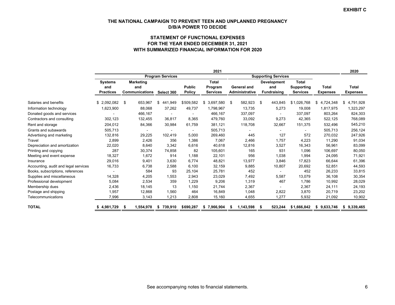## **STATEMENT OF FUNCTIONAL EXPENSES FOR THE YEAR ENDED DECEMBER 31, 2021 WITH SUMMARIZED FINANCIAL INFORMATION FOR 2020**

|                                      |                         |                       |               |                            | 2021            |                       |                    |                   |                 | 2020            |
|--------------------------------------|-------------------------|-----------------------|---------------|----------------------------|-----------------|-----------------------|--------------------|-------------------|-----------------|-----------------|
|                                      | <b>Program Services</b> |                       |               | <b>Supporting Services</b> |                 |                       |                    |                   |                 |                 |
|                                      | <b>Systems</b>          | <b>Marketing</b>      |               |                            | <b>Total</b>    |                       | <b>Development</b> | <b>Total</b>      |                 |                 |
|                                      | and                     | and                   |               | <b>Public</b>              | Program         | General and           | and                | <b>Supporting</b> | Total           | <b>Total</b>    |
|                                      | <b>Practices</b>        | <b>Communications</b> | Select 360    | <b>Policy</b>              | <b>Services</b> | <b>Administrative</b> | <b>Fundraising</b> | <b>Services</b>   | <b>Expenses</b> | <b>Expenses</b> |
| Salaries and benefits                | \$2,092,082             | \$<br>653,967         | 441,949<br>\$ | \$509,582                  | 3,697,580<br>\$ | \$<br>582,923         | \$<br>443,845      | \$1,026,768       | \$4,724,348     | \$<br>4,791,928 |
| Information technology               | 1,623,900               | 88,068                | 37,262        | 49,737                     | 1,798,967       | 13,735                | 5,273              | 19,008            | 1,817,975       | 1,323,297       |
| Donated goods and services           |                         | 466,167               |               |                            | 466,167         | 337,097               |                    | 337,097           | 803,264         | 824,303         |
| Contractors and consulting           | 302,123                 | 132,455               | 36,817        | 8,365                      | 479,760         | 33,092                | 9,273              | 42,365            | 522,125         | 768,089         |
| Rent and storage                     | 204,012                 | 84,366                | 30,984        | 61,759                     | 381,121         | 118,708               | 32,667             | 151,375           | 532,496         | 545,210         |
| Grants and subawards                 | 505,713                 |                       |               |                            | 505,713         |                       |                    |                   | 505,713         | 256,124         |
| Advertising and marketing            | 132,816                 | 29,225                | 102,419       | 5,000                      | 269,460         | 445                   | 127                | 572               | 270,032         | 247,926         |
| Travel                               | 2,899                   | 2,426                 | 356           | 1,386                      | 7,067           | 2,466                 | 1,757              | 4,223             | 11,290          | 91,034          |
| Depreciation and amortization        | 22,020                  | 8,640                 | 3,342         | 6,616                      | 40,618          | 12,816                | 3,527              | 16,343            | 56,961          | 83,099          |
| Printing and copying                 | 287                     | 30,374                | 74,858        | 82                         | 105,601         | 165                   | 931                | 1,096             | 106,697         | 80,050          |
| Meeting and event expense            | 18,327                  | 1,672                 | 914           | 1,188                      | 22,101          | 956                   | 1,038              | 1,994             | 24,095          | 71,921          |
| Insurance                            | 29,016                  | 9,401                 | 3,630         | 6,774                      | 48,821          | 13,977                | 3,846              | 17,823            | 66,644          | 61,396          |
| Accounting, audit and legal services | 16,733                  | 6,738                 | 2,588         | 6,100                      | 32,159          | 9,885                 | 10,807             | 20,692            | 52,851          | 44,593          |
| Books, subscriptions, references     |                         | 584                   | 93            | 25,104                     | 25,781          | 452                   |                    | 452               | 26,233          | 33,815          |
| Supplies and miscellaneous           | 14,328                  | 4,205                 | 1,553         | 2,943                      | 23,029          | 7,492                 | 5,587              | 13,079            | 36,108          | 30,354          |
| Professional development             | 5,084                   | 2,534                 | 359           | 1,229                      | 9,206           | 1,319                 | 467                | 1,786             | 10,992          | 28,029          |
| Membership dues                      | 2,436                   | 18,145                | 13            | 1,150                      | 21,744          | 2,367                 |                    | 2,367             | 24,111          | 24,193          |
| Postage and shipping                 | 1,957                   | 12,868                | 1,560         | 464                        | 16,849          | 1,048                 | 2,822              | 3,870             | 20,719          | 23,202          |
| Telecommunications                   | 7,996                   | 3,143                 | 1,213         | 2,808                      | 15,160          | 4,655                 | 1,277              | 5,932             | 21,092          | 10,902          |
| <b>TOTAL</b>                         | 4,981,729               | 1,554,978<br>£.       | 739.910<br>S. | \$690,287                  | \$7,966,904     | 1,143,598<br>S        | 523,244<br>S       | \$1.666.842       | \$9,633,746     | 9,339,465<br>s. |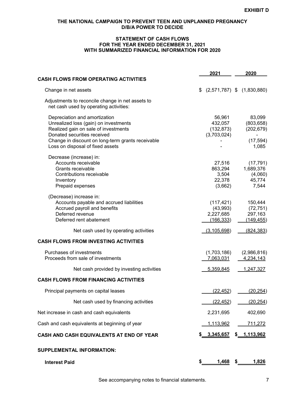## **STATEMENT OF CASH FLOWS FOR THE YEAR ENDED DECEMBER 31, 2021 WITH SUMMARIZED FINANCIAL INFORMATION FOR 2020**

|                                                                                                                                                                                                                                        | 2021                                              | 2020                                                     |
|----------------------------------------------------------------------------------------------------------------------------------------------------------------------------------------------------------------------------------------|---------------------------------------------------|----------------------------------------------------------|
| <b>CASH FLOWS FROM OPERATING ACTIVITIES</b>                                                                                                                                                                                            |                                                   |                                                          |
| Change in net assets                                                                                                                                                                                                                   | $(2,571,787)$ \$ $(1,830,880)$<br>\$              |                                                          |
| Adjustments to reconcile change in net assets to<br>net cash used by operating activities:                                                                                                                                             |                                                   |                                                          |
| Depreciation and amortization<br>Unrealized loss (gain) on investments<br>Realized gain on sale of investments<br>Donated securities received<br>Change in discount on long-term grants receivable<br>Loss on disposal of fixed assets | 56,961<br>432,057<br>(132, 873)<br>(3,703,024)    | 83,099<br>(803, 658)<br>(202, 679)<br>(17, 594)<br>1,085 |
| Decrease (increase) in:<br>Accounts receivable<br>Grants receivable<br>Contributions receivable<br>Inventory<br>Prepaid expenses                                                                                                       | 27,516<br>863,294<br>3,504<br>22,378<br>(3,662)   | (17, 791)<br>1,689,376<br>(4,060)<br>45,774<br>7,544     |
| (Decrease) increase in:<br>Accounts payable and accrued liabilities<br>Accrued payroll and benefits<br>Deferred revenue<br>Deferred rent abatement                                                                                     | (117, 421)<br>(43,993)<br>2,227,685<br>(166, 333) | 150,444<br>(72, 751)<br>297,163<br>(149, 455)            |
| Net cash used by operating activities                                                                                                                                                                                                  | (3, 105, 698)                                     | (824, 383)                                               |
| <b>CASH FLOWS FROM INVESTING ACTIVITIES</b>                                                                                                                                                                                            |                                                   |                                                          |
| Purchases of investments<br>Proceeds from sale of investments                                                                                                                                                                          | (1,703,186)<br>7,063,031                          | (2,986,816)<br>4,234,143                                 |
| Net cash provided by investing activities                                                                                                                                                                                              | 5,359,845                                         | 1,247,327                                                |
| <b>CASH FLOWS FROM FINANCING ACTIVITIES</b>                                                                                                                                                                                            |                                                   |                                                          |
| Principal payments on capital leases                                                                                                                                                                                                   | (22, 452)                                         | (20, 254)                                                |
| Net cash used by financing activities                                                                                                                                                                                                  | (22, 452)                                         | (20, 254)                                                |
| Net increase in cash and cash equivalents                                                                                                                                                                                              | 2,231,695                                         | 402,690                                                  |
| Cash and cash equivalents at beginning of year                                                                                                                                                                                         | <u>1,113,962</u>                                  | <u>711,272</u>                                           |
| CASH AND CASH EQUIVALENTS AT END OF YEAR                                                                                                                                                                                               | 3,345,657                                         | \$ 1,113,962                                             |
| <b>SUPPLEMENTAL INFORMATION:</b>                                                                                                                                                                                                       |                                                   |                                                          |
| <b>Interest Paid</b>                                                                                                                                                                                                                   | 1,468<br>S                                        | 1,826<br>\$                                              |

See accompanying notes to financial statements. The accompanying notes to financial statements.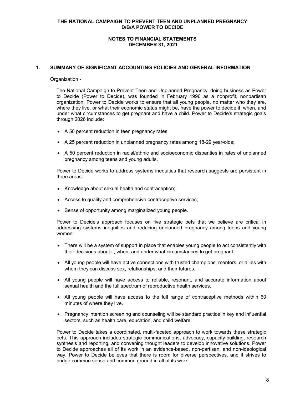## **NOTES TO FINANCIAL STATEMENTS DECEMBER 31, 2021**

## **1. SUMMARY OF SIGNIFICANT ACCOUNTING POLICIES AND GENERAL INFORMATION**

#### Organization -

The National Campaign to Prevent Teen and Unplanned Pregnancy, doing business as Power to Decide (Power to Decide), was founded in February 1996 as a nonprofit, nonpartisan organization. Power to Decide works to ensure that all young people, no matter who they are, where they live, or what their economic status might be, have the power to decide if, when, and under what circumstances to get pregnant and have a child. Power to Decide's strategic goals through 2026 include:

- A 50 percent reduction in teen pregnancy rates;
- A 25 percent reduction in unplanned pregnancy rates among 18-29 year-olds;
- A 50 percent reduction in racial/ethnic and socioeconomic disparities in rates of unplanned pregnancy among teens and young adults.

Power to Decide works to address systems inequities that research suggests are persistent in three areas:

- Knowledge about sexual health and contraception;
- Access to quality and comprehensive contraceptive services;
- Sense of opportunity among marginalized young people.

Power to Decide's approach focuses on five strategic bets that we believe are critical in addressing systems inequities and reducing unplanned pregnancy among teens and young women:

- There will be a system of support in place that enables young people to act consistently with their decisions about if, when, and under what circumstances to get pregnant.
- All young people will have active connections with trusted champions, mentors, or allies with whom they can discuss sex, relationships, and their futures.
- All young people will have access to reliable, resonant, and accurate information about sexual health and the full spectrum of reproductive health services.
- All young people will have access to the full range of contraceptive methods within 60 minutes of where they live.
- Pregnancy intention screening and counseling will be standard practice in key and influential sectors, such as health care, education, and child welfare.

Power to Decide takes a coordinated, multi-faceted approach to work towards these strategic bets. This approach includes strategic communications, advocacy, capacity-building, research synthesis and reporting, and convening thought leaders to develop innovative solutions. Power to Decide approaches all of its work in an evidence-based, non-partisan, and non-ideological way. Power to Decide believes that there is room for diverse perspectives, and it strives to bridge common sense and common ground in all of its work.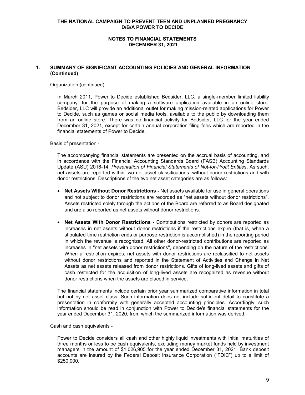#### **NOTES TO FINANCIAL STATEMENTS DECEMBER 31, 2021**

## **1. SUMMARY OF SIGNIFICANT ACCOUNTING POLICIES AND GENERAL INFORMATION (Continued)**

Organization (continued) -

In March 2011, Power to Decide established Bedsider, LLC, a single-member limited liability company, for the purpose of making a software application available in an online store. Bedsider, LLC will provide an additional outlet for making mission-related applications for Power to Decide, such as games or social media tools, available to the public by downloading them from an online store. There was no financial activity for Bedsider, LLC for the year ended December 31, 2021, except for certain annual corporation filing fees which are reported in the financial statements of Power to Decide.

Basis of presentation -

The accompanying financial statements are presented on the accrual basis of accounting, and in accordance with the Financial Accounting Standards Board (FASB) Accounting Standards Update (ASU) 2016-14, *Presentation of Financial Statements of Not-for-Profit Entitie*s. As such, net assets are reported within two net asset classifications: without donor restrictions and with donor restrictions. Descriptions of the two net asset categories are as follows:

- **Net Assets Without Donor Restrictions Net assets available for use in general operations** and not subject to donor restrictions are recorded as "net assets without donor restrictions". Assets restricted solely through the actions of the Board are referred to as Board designated and are also reported as net assets without donor restrictions.
- **Net Assets With Donor Restrictions -** Contributions restricted by donors are reported as increases in net assets without donor restrictions if the restrictions expire (that is, when a stipulated time restriction ends or purpose restriction is accomplished) in the reporting period in which the revenue is recognized. All other donor-restricted contributions are reported as increases in "net assets with donor restrictions", depending on the nature of the restrictions. When a restriction expires, net assets with donor restrictions are reclassified to net assets without donor restrictions and reported in the Statement of Activities and Change in Net Assets as net assets released from donor restrictions. Gifts of long-lived assets and gifts of cash restricted for the acquisition of long-lived assets are recognized as revenue without donor restrictions when the assets are placed in service.

The financial statements include certain prior year summarized comparative information in total but not by net asset class. Such information does not include sufficient detail to constitute a presentation in conformity with generally accepted accounting principles. Accordingly, such information should be read in conjunction with Power to Decide's financial statements for the year ended December 31, 2020, from which the summarized information was derived.

Cash and cash equivalents -

Power to Decide considers all cash and other highly liquid investments with initial maturities of three months or less to be cash equivalents, excluding money market funds held by investment managers in the amount of \$1,026,905 for the year ended December 31, 2021. Bank deposit accounts are insured by the Federal Deposit Insurance Corporation ("FDIC") up to a limit of \$250,000.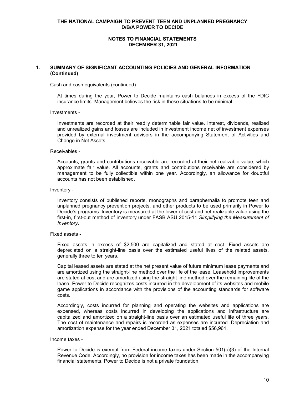#### **NOTES TO FINANCIAL STATEMENTS DECEMBER 31, 2021**

## **1. SUMMARY OF SIGNIFICANT ACCOUNTING POLICIES AND GENERAL INFORMATION (Continued)**

Cash and cash equivalents (continued) -

At times during the year, Power to Decide maintains cash balances in excess of the FDIC insurance limits. Management believes the risk in these situations to be minimal.

Investments -

Investments are recorded at their readily determinable fair value. Interest, dividends, realized and unrealized gains and losses are included in investment income net of investment expenses provided by external investment advisors in the accompanying Statement of Activities and Change in Net Assets.

Receivables -

Accounts, grants and contributions receivable are recorded at their net realizable value, which approximate fair value. All accounts, grants and contributions receivable are considered by management to be fully collectible within one year. Accordingly, an allowance for doubtful accounts has not been established.

Inventory -

Inventory consists of published reports, monographs and paraphernalia to promote teen and unplanned pregnancy prevention projects, and other products to be used primarily in Power to Decide's programs. Inventory is measured at the lower of cost and net realizable value using the first-in, first-out method of inventory under FASB ASU 2015-11 *Simplifying the Measurement of Inventory*.

Fixed assets -

Fixed assets in excess of \$2,500 are capitalized and stated at cost. Fixed assets are depreciated on a straight-line basis over the estimated useful lives of the related assets, generally three to ten years.

Capital leased assets are stated at the net present value of future minimum lease payments and are amortized using the straight-line method over the life of the lease. Leasehold improvements are stated at cost and are amortized using the straight-line method over the remaining life of the lease. Power to Decide recognizes costs incurred in the development of its websites and mobile game applications in accordance with the provisions of the accounting standards for software costs.

Accordingly, costs incurred for planning and operating the websites and applications are expensed, whereas costs incurred in developing the applications and infrastructure are capitalized and amortized on a straight-line basis over an estimated useful life of three years. The cost of maintenance and repairs is recorded as expenses are incurred. Depreciation and amortization expense for the year ended December 31, 2021 totaled \$56,961.

Income taxes -

Power to Decide is exempt from Federal income taxes under Section 501(c)(3) of the Internal Revenue Code. Accordingly, no provision for income taxes has been made in the accompanying financial statements. Power to Decide is not a private foundation.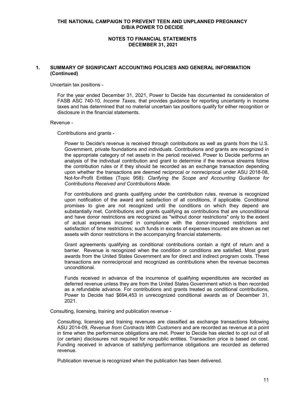#### **NOTES TO FINANCIAL STATEMENTS DECEMBER 31, 2021**

## **1. SUMMARY OF SIGNIFICANT ACCOUNTING POLICIES AND GENERAL INFORMATION (Continued)**

Uncertain tax positions -

For the year ended December 31, 2021, Power to Decide has documented its consideration of FASB ASC 740-10, *Income Taxes*, that provides guidance for reporting uncertainty in income taxes and has determined that no material uncertain tax positions qualify for either recognition or disclosure in the financial statements.

#### Revenue -

Contributions and grants -

Power to Decide's revenue is received through contributions as well as grants from the U.S. Government, private foundations and individuals. Contributions and grants are recognized in the appropriate category of net assets in the period received. Power to Decide performs an analysis of the individual contribution and grant to determine if the revenue streams follow the contribution rules or if they should be recorded as an exchange transaction depending upon whether the transactions are deemed reciprocal or nonreciprocal under ASU 2018-08, Not-for-Profit Entities (Topic 958): *Clarifying the Scope and Accounting Guidance for Contributions Received and Contributions Made*.

For contributions and grants qualifying under the contribution rules, revenue is recognized upon notification of the award and satisfaction of all conditions, if applicable. Conditional promises to give are not recognized until the conditions on which they depend are substantially met. Contributions and grants qualifying as contributions that are unconditional and have donor restrictions are recognized as "without donor restrictions" only to the extent of actual expenses incurred in compliance with the donor-imposed restrictions and satisfaction of time restrictions; such funds in excess of expenses incurred are shown as net assets with donor restrictions in the accompanying financial statements.

Grant agreements qualifying as conditional contributions contain a right of return and a barrier. Revenue is recognized when the condition or conditions are satisfied. Most grant awards from the United States Government are for direct and indirect program costs. These transactions are nonreciprocal and recognized as contributions when the revenue becomes unconditional.

Funds received in advance of the incurrence of qualifying expenditures are recorded as deferred revenue unless they are from the United States Government which is then recorded as a refundable advance. For contributions and grants treated as conditional contributions, Power to Decide had \$694,453 in unrecognized conditional awards as of December 31, 2021.

Consulting, licensing, training and publication revenue -

Consulting, licensing and training revenues are classified as exchange transactions following ASU 2014-09, *Revenue from Contracts With Customers* and are recorded as revenue at a point in time when the performance obligations are met. Power to Decide has elected to opt out of all (or certain) disclosures not required for nonpublic entities. Transaction price is based on cost. Funding received in advance of satisfying performance obligations are recorded as deferred revenue.

Publication revenue is recognized when the publication has been delivered.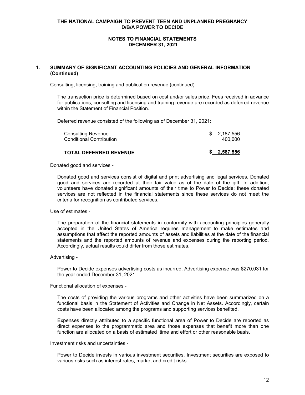#### **NOTES TO FINANCIAL STATEMENTS DECEMBER 31, 2021**

## **1. SUMMARY OF SIGNIFICANT ACCOUNTING POLICIES AND GENERAL INFORMATION (Continued)**

Consulting, licensing, training and publication revenue (continued) -

The transaction price is determined based on cost and/or sales price. Fees received in advance for publications, consulting and licensing and training revenue are recorded as deferred revenue within the Statement of Financial Position.

Deferred revenue consisted of the following as of December 31, 2021:

| <b>Consulting Revenue</b>       | \$ 2.187.556 |
|---------------------------------|--------------|
| <b>Conditional Contribution</b> | 400.000      |
|                                 |              |
| <b>TOTAL DEFERRED REVENUE</b>   | \$2,587,556  |

Donated good and services -

Donated good and services consist of digital and print advertising and legal services. Donated good and services are recorded at their fair value as of the date of the gift. In addition, volunteers have donated significant amounts of their time to Power to Decide; these donated services are not reflected in the financial statements since these services do not meet the criteria for recognition as contributed services.

Use of estimates -

The preparation of the financial statements in conformity with accounting principles generally accepted in the United States of America requires management to make estimates and assumptions that affect the reported amounts of assets and liabilities at the date of the financial statements and the reported amounts of revenue and expenses during the reporting period. Accordingly, actual results could differ from those estimates.

Advertising -

Power to Decide expenses advertising costs as incurred. Advertising expense was \$270,031 for the year ended December 31, 2021.

Functional allocation of expenses -

The costs of providing the various programs and other activities have been summarized on a functional basis in the Statement of Activities and Change in Net Assets. Accordingly, certain costs have been allocated among the programs and supporting services benefited.

Expenses directly attributed to a specific functional area of Power to Decide are reported as direct expenses to the programmatic area and those expenses that benefit more than one function are allocated on a basis of estimated time and effort or other reasonable basis.

Investment risks and uncertainties -

Power to Decide invests in various investment securities. Investment securities are exposed to various risks such as interest rates, market and credit risks.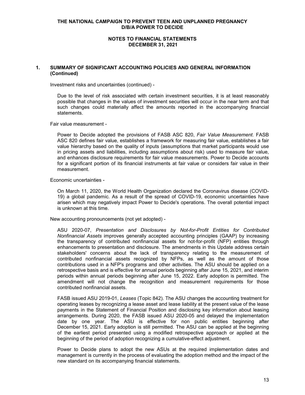#### **NOTES TO FINANCIAL STATEMENTS DECEMBER 31, 2021**

## **1. SUMMARY OF SIGNIFICANT ACCOUNTING POLICIES AND GENERAL INFORMATION (Continued)**

Investment risks and uncertainties (continued) -

Due to the level of risk associated with certain investment securities, it is at least reasonably possible that changes in the values of investment securities will occur in the near term and that such changes could materially affect the amounts reported in the accompanying financial statements.

Fair value measurement -

Power to Decide adopted the provisions of FASB ASC 820, *Fair Value Measurement*. FASB ASC 820 defines fair value, establishes a framework for measuring fair value, establishes a fair value hierarchy based on the quality of inputs (assumptions that market participants would use in pricing assets and liabilities, including assumptions about risk) used to measure fair value, and enhances disclosure requirements for fair value measurements. Power to Decide accounts for a significant portion of its financial instruments at fair value or considers fair value in their measurement.

#### Economic uncertainties -

On March 11, 2020, the World Health Organization declared the Coronavirus disease (COVID-19) a global pandemic. As a result of the spread of COVID-19, economic uncertainties have arisen which may negatively impact Power to Decide's operations. The overall potential impact is unknown at this time.

New accounting pronouncements (not yet adopted) -

ASU 2020-07, *Presentation and Disclosures by Not-for-Profit Entities for Contributed Nonfinancial Assets* improves generally accepted accounting principles (GAAP) by increasing the transparency of contributed nonfinancial assets for not-for-profit (NFP) entities through enhancements to presentation and disclosure. The amendments in this Update address certain stakeholders' concerns about the lack of transparency relating to the measurement of contributed nonfinancial assets recognized by NFPs, as well as the amount of those contributions used in a NFP's programs and other activities. The ASU should be applied on a retrospective basis and is effective for annual periods beginning after June 15, 2021, and interim periods within annual periods beginning after June 15, 2022. Early adoption is permitted. The amendment will not change the recognition and measurement requirements for those contributed nonfinancial assets.

FASB issued ASU 2019-01, *Leases* (Topic 842). The ASU changes the accounting treatment for operating leases by recognizing a lease asset and lease liability at the present value of the lease payments in the Statement of Financial Position and disclosing key information about leasing arrangements. During 2020, the FASB issued ASU 2020-05 and delayed the implementation date by one year. The ASU is effective for non public entities beginning after December 15, 2021. Early adoption is still permitted. The ASU can be applied at the beginning of the earliest period presented using a modified retrospective approach or applied at the beginning of the period of adoption recognizing a cumulative-effect adjustment.

Power to Decide plans to adopt the new ASUs at the required implementation dates and management is currently in the process of evaluating the adoption method and the impact of the new standard on its accompanying financial statements.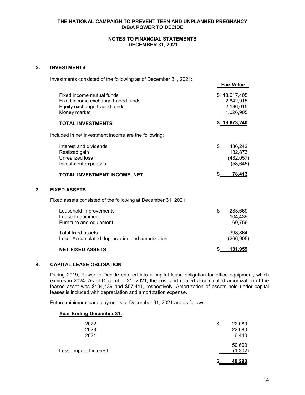#### **NOTES TO FINANCIAL STATEMENTS DECEMBER 31, 2021**

## **2. INVESTMENTS**

Investments consisted of the following as of December 31, 2021:

|                                                                                                                 | <b>Fair Value</b>                                   |
|-----------------------------------------------------------------------------------------------------------------|-----------------------------------------------------|
| Fixed income mutual funds<br>Fixed income exchange traded funds<br>Equity exchange traded funds<br>Money market | \$13,617,405<br>2,842,915<br>2,186,015<br>1,026,905 |
| <b>TOTAL INVESTMENTS</b>                                                                                        | \$19,673,240                                        |
| Included in net investment income are the following:                                                            |                                                     |
| Interest and dividends<br>Realized gain<br>Unrealized loss<br>Investment expenses                               | \$<br>436,242<br>132,873<br>(432, 057)<br>(58, 645) |
| TOTAL INVESTMENT INCOME, NET                                                                                    | <u>78,413</u>                                       |
| <b>FIXED ASSETS</b>                                                                                             |                                                     |
| Fixed assets consisted of the following at December 31, 2021:                                                   |                                                     |
| Leasehold improvements<br>Leased equipment<br>Furniture and equipment                                           | \$<br>233,669<br>104,439<br>60,756                  |
| <b>Total fixed assets</b><br>Less: Accumulated depreciation and amortization                                    | 398,864<br><u>(266,905)</u>                         |
| <b>NET FIXED ASSETS</b>                                                                                         | 131,959                                             |
|                                                                                                                 |                                                     |

## **4. CAPITAL LEASE OBLIGATION**

During 2019, Power to Decide entered into a capital lease obligation for office equipment, which expires in 2024. As of December 31, 2021, the cost and related accumulated amortization of the leased asset was \$104,439 and \$57,441, respectively. Amortization of assets held under capital leases is included with depreciation and amortization expense.

Future minimum lease payments at December 31, 2021 are as follows:

## **Year Ending December 31,**

|                        | 49,298<br>S                     |  |
|------------------------|---------------------------------|--|
| Less: Imputed interest | 50,600<br>(1, 302)              |  |
| 2022<br>2023<br>2024   | 22,080<br>\$<br>22,080<br>6,440 |  |
|                        |                                 |  |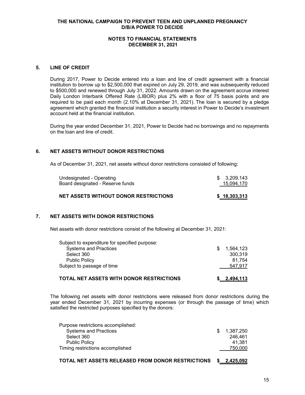#### **NOTES TO FINANCIAL STATEMENTS DECEMBER 31, 2021**

## **5. LINE OF CREDIT**

During 2017, Power to Decide entered into a loan and line of credit agreement with a financial institution to borrow up to \$2,500,000 that expired on July 29, 2019, and was subsequently reduced to \$500,000 and renewed through July 31, 2022. Amounts drawn on the agreement accrue interest Daily London Interbank Offered Rate (LIBOR) plus 2% with a floor of 75 basis points and are required to be paid each month (2.10% at December 31, 2021). The loan is secured by a pledge agreement which granted the financial institution a security interest in Power to Decide's investment account held at the financial institution.

During the year ended December 31, 2021, Power to Decide had no borrowings and no repayments on the loan and line of credit.

## **6. NET ASSETS WITHOUT DONOR RESTRICTIONS**

As of December 31, 2021, net assets without donor restrictions consisted of following:

| Undesignated - Operating                     | \$ 3.209.143         |
|----------------------------------------------|----------------------|
| Board designated - Reserve funds             | 15,094,170           |
|                                              |                      |
| <b>NET ASSETS WITHOUT DONOR RESTRICTIONS</b> | <u>\$ 18,303,313</u> |

## **7. NET ASSETS WITH DONOR RESTRICTIONS**

Net assets with donor restrictions consist of the following at December 31, 2021:

| TOTAL NET ASSETS WITH DONOR RESTRICTIONS      | 2,494,113 |
|-----------------------------------------------|-----------|
| Subject to passage of time                    | 547,917   |
| <b>Public Policy</b>                          | 81.754    |
| Select 360                                    | 300.319   |
| <b>Systems and Practices</b>                  | 1.564.123 |
| Subject to expenditure for specified purpose: |           |

The following net assets with donor restrictions were released from donor restrictions during the year ended December 31, 2021 by incurring expenses (or through the passage of time) which satisfied the restricted purposes specified by the donors:

| Purpose restrictions accomplished: |              |
|------------------------------------|--------------|
| Systems and Practices              | \$ 1.387.250 |
| Select 360                         | 246.461      |
| <b>Public Policy</b>               | 41.381       |
| Timing restrictions accomplished   | 750.000      |
|                                    |              |

## **TOTAL NET ASSETS RELEASED FROM DONOR RESTRICTIONS \$ 2,425,092**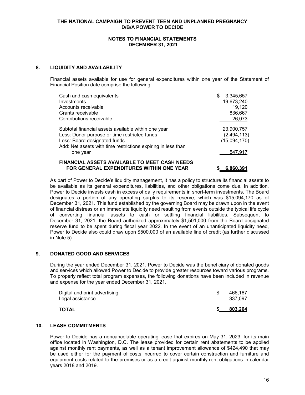#### **NOTES TO FINANCIAL STATEMENTS DECEMBER 31, 2021**

## **8. LIQUIDITY AND AVAILABILITY**

Financial assets available for use for general expenditures within one year of the Statement of Financial Position date comprise the following:

| Cash and cash equivalents                                    | 3,345,657<br>S |
|--------------------------------------------------------------|----------------|
| Investments                                                  | 19,673,240     |
| Accounts receivable                                          | 19,120         |
| Grants receivable                                            | 836,667        |
| Contributions receivable                                     | 26,073         |
| Subtotal financial assets available within one year          | 23,900,757     |
| Less: Donor purpose or time restricted funds                 | (2,494,113)    |
| Less: Board designated funds                                 | (15,094,170)   |
| Add: Net assets with time restrictions expiring in less than |                |
| one year                                                     | 547,917        |
| FINANCIAL ASSETS AVAILABLE TO MEET CASH NEEDS                |                |
| FOR GENERAL EXPENDITURES WITHIN ONE YEAR                     | 6.860.391      |

As part of Power to Decide's liquidity management, it has a policy to structure its financial assets to be available as its general expenditures, liabilities, and other obligations come due. In addition, Power to Decide invests cash in excess of daily requirements in short-term investments. The Board designates a portion of any operating surplus to its reserve, which was \$15,094,170 as of December 31, 2021. This fund established by the governing Board may be drawn upon in the event of financial distress or an immediate liquidity need resulting from events outside the typical life cycle of converting financial assets to cash or settling financial liabilities. Subsequent to December 31, 2021, the Board authorized approximately \$1,501,000 from the Board designated reserve fund to be spent during fiscal year 2022. In the event of an unanticipated liquidity need, Power to Decide also could draw upon \$500,000 of an available line of credit (as further discussed in Note 5).

## **9. DONATED GOOD AND SERVICES**

During the year ended December 31, 2021, Power to Decide was the beneficiary of donated goods and services which allowed Power to Decide to provide greater resources toward various programs. To properly reflect total program expenses, the following donations have been included in revenue and expense for the year ended December 31, 2021.

| Digital and print advertising<br>Legal assistance | 466.167<br>337,097 |
|---------------------------------------------------|--------------------|
| TOTAL                                             | 803.264            |

## **10. LEASE COMMITMENTS**

Power to Decide has a noncancelable operating lease that expires on May 31, 2023, for its main office located in Washington, D.C. The lease provided for certain rent abatements to be applied against monthly rent payments, as well as a tenant improvement allowance of \$424,490 that may be used either for the payment of costs incurred to cover certain construction and furniture and equipment costs related to the premises or as a credit against monthly rent obligations in calendar years 2018 and 2019.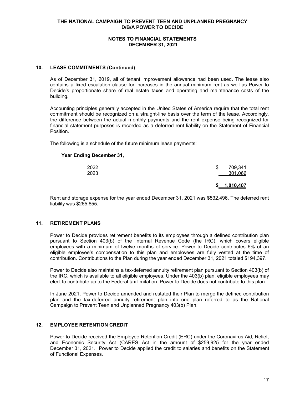## **NOTES TO FINANCIAL STATEMENTS DECEMBER 31, 2021**

## **10. LEASE COMMITMENTS (Continued)**

As of December 31, 2019, all of tenant improvement allowance had been used. The lease also contains a fixed escalation clause for increases in the annual minimum rent as well as Power to Decide's proportionate share of real estate taxes and operating and maintenance costs of the building.

Accounting principles generally accepted in the United States of America require that the total rent commitment should be recognized on a straight-line basis over the term of the lease. Accordingly, the difference between the actual monthly payments and the rent expense being recognized for financial statement purposes is recorded as a deferred rent liability on the Statement of Financial Position.

The following is a schedule of the future minimum lease payments:

## **Year Ending December 31,**

|      | S. | 1,010,407 |
|------|----|-----------|
| 2023 |    | 301,066   |
| 2022 |    | 709,341   |
|      |    |           |

Rent and storage expense for the year ended December 31, 2021 was \$532,496. The deferred rent liability was \$265,655.

## **11. RETIREMENT PLANS**

Power to Decide provides retirement benefits to its employees through a defined contribution plan pursuant to Section 403(b) of the Internal Revenue Code (the IRC), which covers eligible employees with a minimum of twelve months of service. Power to Decide contributes 6% of an eligible employee's compensation to this plan and employees are fully vested at the time of contribution. Contributions to the Plan during the year ended December 31, 2021 totaled \$194,397.

Power to Decide also maintains a tax-deferred annuity retirement plan pursuant to Section 403(b) of the IRC, which is available to all eligible employees. Under the 403(b) plan, eligible employees may elect to contribute up to the Federal tax limitation. Power to Decide does not contribute to this plan.

In June 2021, Power to Decide amended and restated their Plan to merge the defined contribution plan and the tax-deferred annuity retirement plan into one plan referred to as the National Campaign to Prevent Teen and Unplanned Pregnancy 403(b) Plan.

## **12. EMPLOYEE RETENTION CREDIT**

Power to Decide received the Employee Retention Credit (ERC) under the Coronavirus Aid, Relief, and Economic Security Act (CARES Act in the amount of \$259,925 for the year ended December 31, 2021. Power to Decide applied the credit to salaries and benefits on the Statement of Functional Expenses*.*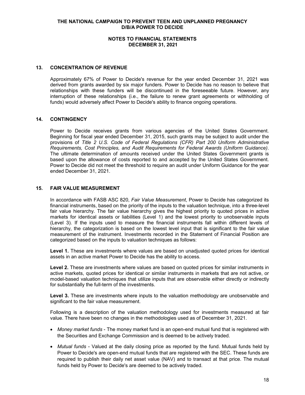#### **NOTES TO FINANCIAL STATEMENTS DECEMBER 31, 2021**

## **13. CONCENTRATION OF REVENUE**

Approximately 67% of Power to Decide's revenue for the year ended December 31, 2021 was derived from grants awarded by six major funders. Power to Decide has no reason to believe that relationships with these funders will be discontinued in the foreseeable future. However, any interruption of these relationships (i.e., the failure to renew grant agreements or withholding of funds) would adversely affect Power to Decide's ability to finance ongoing operations.

## **14. CONTINGENCY**

Power to Decide receives grants from various agencies of the United States Government. Beginning for fiscal year ended December 31, 2015, such grants may be subject to audit under the provisions of *Title 2 U.S. Code of Federal Regulations (CFR) Part 200 Uniform Administrative Requirements, Cost Principles, and Audit Requirements for Federal Awards (Uniform Guidance)*. The ultimate determination of amounts received under the United States Government grants is based upon the allowance of costs reported to and accepted by the United States Government. Power to Decide did not meet the threshold to require an audit under Uniform Guidance for the year ended December 31, 2021.

## **15. FAIR VALUE MEASUREMENT**

In accordance with FASB ASC 820, *Fair Value Measurement*, Power to Decide has categorized its financial instruments, based on the priority of the inputs to the valuation technique, into a three-level fair value hierarchy. The fair value hierarchy gives the highest priority to quoted prices in active markets for identical assets or liabilities (Level 1) and the lowest priority to unobservable inputs (Level 3). If the inputs used to measure the financial instruments fall within different levels of hierarchy, the categorization is based on the lowest level input that is significant to the fair value measurement of the instrument. Investments recorded in the Statement of Financial Position are categorized based on the inputs to valuation techniques as follows:

**Level 1.** These are investments where values are based on unadjusted quoted prices for identical assets in an active market Power to Decide has the ability to access.

**Level 2.** These are investments where values are based on quoted prices for similar instruments in active markets, quoted prices for identical or similar instruments in markets that are not active, or model-based valuation techniques that utilize inputs that are observable either directly or indirectly for substantially the full-term of the investments.

Level 3. These are investments where inputs to the valuation methodology are unobservable and significant to the fair value measurement.

Following is a description of the valuation methodology used for investments measured at fair value. There have been no changes in the methodologies used as of December 31, 2021.

- *Money market funds* The money market fund is an open-end mutual fund that is registered with the Securities and Exchange Commission and is deemed to be actively traded.
- *Mutual funds* Valued at the daily closing price as reported by the fund. Mutual funds held by Power to Decide's are open-end mutual funds that are registered with the SEC. These funds are required to publish their daily net asset value (NAV) and to transact at that price. The mutual funds held by Power to Decide's are deemed to be actively traded.